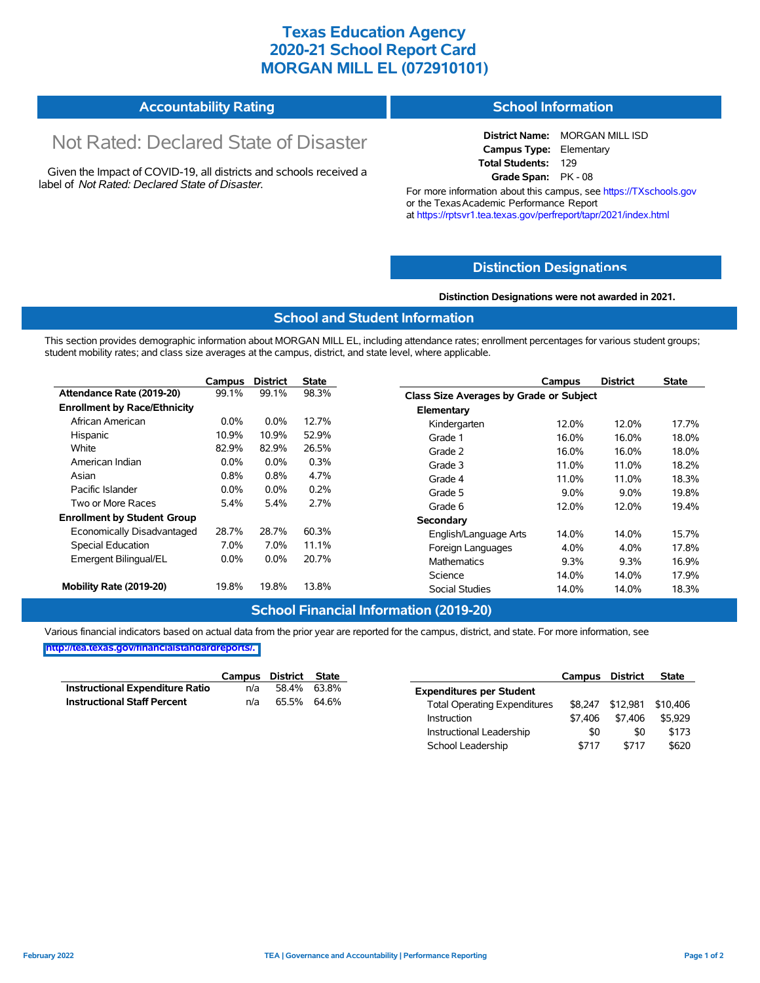# **Texas Education Agency 2020-21 School Report Card MORGAN MILL EL (072910101)**

#### **Accountability Rating School Information**

# Not Rated: Declared State of Disaster

Given the Impact of COVID-19, all districts and schools received a label of *Not Rated: Declared State of Disaster.*

**District Name:** MORGAN MILL ISD **Campus Type:** Elementary **Total Students:** 129 **Grade Span:** PK - 08

For more information about this campus, see https://TXschools.gov or the TexasAcademic Performance Report at https://rptsvr1.tea.texas.gov/perfreport/tapr/2021/index.html

## **Distinction Designat[ions](https://TXschools.gov)**

### **Distinction Designations were not awarded in 2021.**

## **School and Student Information**

This section provides demographic information about MORGAN MILL EL, including attendance rates; enrollment percentages for various student groups; student mobility rates; and class size averages at the campus, district, and state level, where applicable.

|                                     | Campus  | <b>District</b> | <b>State</b> |                       | Campus                                         | <b>District</b> | <b>State</b> |  |  |  |
|-------------------------------------|---------|-----------------|--------------|-----------------------|------------------------------------------------|-----------------|--------------|--|--|--|
| Attendance Rate (2019-20)           | 99.1%   | 99.1%           | 98.3%        |                       | <b>Class Size Averages by Grade or Subject</b> |                 |              |  |  |  |
| <b>Enrollment by Race/Ethnicity</b> |         |                 |              | Elementary            |                                                |                 |              |  |  |  |
| African American                    | $0.0\%$ | 0.0%            | 12.7%        | Kindergarten          | 12.0%                                          | 12.0%           | 17.7%        |  |  |  |
| Hispanic                            | 10.9%   | 10.9%           | 52.9%        | Grade 1               | 16.0%                                          | 16.0%           | 18.0%        |  |  |  |
| White                               | 82.9%   | 82.9%           | 26.5%        | Grade 2               | 16.0%                                          | 16.0%           | 18.0%        |  |  |  |
| American Indian                     | $0.0\%$ | $0.0\%$         | 0.3%         | Grade 3               | 11.0%                                          | 11.0%           | 18.2%        |  |  |  |
| Asian                               | 0.8%    | 0.8%            | 4.7%         | Grade 4               | 11.0%                                          | 11.0%           | 18.3%        |  |  |  |
| Pacific Islander                    | $0.0\%$ | $0.0\%$         | 0.2%         | Grade 5               | 9.0%                                           | $9.0\%$         | 19.8%        |  |  |  |
| Two or More Races                   | 5.4%    | 5.4%            | 2.7%         | Grade 6               | 12.0%                                          | 12.0%           | 19.4%        |  |  |  |
| <b>Enrollment by Student Group</b>  |         |                 |              | Secondary             |                                                |                 |              |  |  |  |
| Economically Disadvantaged          | 28.7%   | 28.7%           | 60.3%        | English/Language Arts | 14.0%                                          | 14.0%           | 15.7%        |  |  |  |
| Special Education                   | 7.0%    | 7.0%            | 11.1%        | Foreign Languages     | 4.0%                                           | 4.0%            | 17.8%        |  |  |  |
| Emergent Bilingual/EL               | $0.0\%$ | $0.0\%$         | 20.7%        | <b>Mathematics</b>    | 9.3%                                           | 9.3%            | 16.9%        |  |  |  |
|                                     |         |                 |              | Science               | 14.0%                                          | 14.0%           | 17.9%        |  |  |  |
| Mobility Rate (2019-20)             | 19.8%   | 19.8%           | 13.8%        | <b>Social Studies</b> | 14.0%                                          | 14.0%           | 18.3%        |  |  |  |

## **School Financial Information (2019-20)**

Various financial indicators based on actual data from the prior year are reported for the campus, district, and state. For more information, see **[http://tea.texas.gov/financialstandardreports/.](http://tea.texas.gov/financialstandardreports/)**

|                                    | Campus District State |                   |  |
|------------------------------------|-----------------------|-------------------|--|
| Instructional Expenditure Ratio    |                       | $n/a$ 58.4% 63.8% |  |
| <b>Instructional Staff Percent</b> | n/a                   | 65.5% 64.6%       |  |

|                                     | Campus District |          | <b>State</b> |
|-------------------------------------|-----------------|----------|--------------|
| <b>Expenditures per Student</b>     |                 |          |              |
| <b>Total Operating Expenditures</b> | \$8.247         | \$12.981 | \$10,406     |
| Instruction                         | \$7.406         | \$7.406  | \$5.929      |
| Instructional Leadership            | \$0             | \$0      | \$173        |
| School Leadership                   | \$717           | \$717    | \$620        |